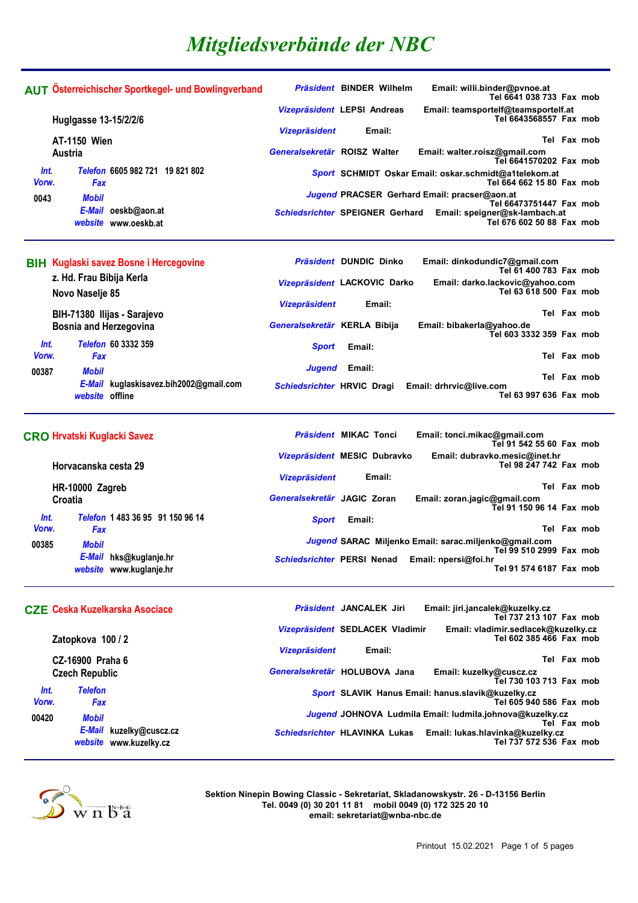|               | <b>AUT Österreichischer Sportkegel- und Bowlingverband</b> |                                                                         | Präsident BINDER Wilhelm                                                           | Email: willi.binder@pvnoe.at<br>Tel 6641 038 733 Fax mob                                   |  |  |  |
|---------------|------------------------------------------------------------|-------------------------------------------------------------------------|------------------------------------------------------------------------------------|--------------------------------------------------------------------------------------------|--|--|--|
|               | Huglgasse 13-15/2/2/6                                      |                                                                         | Vizepräsident LEPSI Andreas                                                        | Email: teamsportelf@teamsportelf.at<br>Tel 6643568557 Fax mob                              |  |  |  |
|               | <b>AT-1150 Wien</b>                                        | <b>Vizepräsident</b>                                                    | Email:                                                                             | Tel Fax mob                                                                                |  |  |  |
|               | Austria                                                    | Generalsekretär ROISZ Walter                                            |                                                                                    | Email: walter.roisz@gmail.com<br>Tel 6641570202 Fax mob                                    |  |  |  |
| Int.<br>Vorw. | Telefon 6605 982 721 19 821 802<br><b>Fax</b>              |                                                                         | Sport SCHMIDT Oskar Email: oskar.schmidt@a1telekom.at<br>Tel 664 662 15 80 Fax mob |                                                                                            |  |  |  |
| 0043          | Mobil                                                      | Jugend PRACSER Gerhard Email: pracser@aon.at<br>Tel 66473751447 Fax mob |                                                                                    |                                                                                            |  |  |  |
|               | E-Mail oeskb@aon.at<br>website www.oeskb.at                |                                                                         |                                                                                    | Schiedsrichter SPEIGNER Gerhard Email: speigner@sk-lambach.at<br>Tel 676 602 50 88 Fax mob |  |  |  |
|               | <b>BIH Kuglaski savez Bosne i Hercegovine</b>              |                                                                         | Präsident DUNDIC Dinko                                                             | Email: dinkodundic7@gmail.com                                                              |  |  |  |
|               | z. Hd. Frau Bibija Kerla                                   |                                                                         | Vizepräsident LACKOVIC Darko                                                       | Tel 61 400 783 Fax mob<br>Email: darko.lackovic@yahoo.com                                  |  |  |  |
|               | Novo Naselje 85                                            |                                                                         |                                                                                    | Tel 63 618 500 Fax mob                                                                     |  |  |  |
|               | <b>BIH-71380 Ilijas - Sarajevo</b>                         | <b>Vizepräsident</b>                                                    | Email:                                                                             | Tel Fax mob                                                                                |  |  |  |

|               |                 | BIH-71380 Ilijas - Sarajevo<br><b>Bosnia and Herzegovina</b> | Generalsekretär KERLA Bibija |        | Email: bibakerla@yahoo.de<br>Tel 603 33 |
|---------------|-----------------|--------------------------------------------------------------|------------------------------|--------|-----------------------------------------|
| Int.<br>Vorw. | Fax             | Telefon 60 3332 359                                          | <b>Sport</b>                 | Email: |                                         |
| 00387         | Mobil           |                                                              | <b>Jugend</b>                | Email: |                                         |
|               | website offline | $E$ -Mail kuqlaskisavez.bih2002@gmail.com                    | Schiedsrichter HRVIC Dragi   |        | Email: drhrvic@live.com<br>Tel 63 9     |

|         | <b>CRO Hrvatski Kuglacki Savez</b> |                             | <b>Präsident MIKAC Tonci</b> | Email: tonci.mikac@gmail.com<br>Tel 91 542 55 60 Fax mob |
|---------|------------------------------------|-----------------------------|------------------------------|----------------------------------------------------------|
|         | Horvacanska cesta 29               |                             | Vizepräsident MESIC Dubravko | Email: dubravko.mesic@inet.hr<br>Tel 98 247 742 Fax mob  |
|         |                                    | <b>Vizepräsident</b>        | Email:                       | Tel Fax mob                                              |
|         | HR-10000 Zagreb                    |                             |                              |                                                          |
| Croatia |                                    | Generalsekretär JAGIC Zoran |                              | Email: zoran.jagic@gmail.com<br>Tel 91 150 96 14 Fax mob |
| Int.    | Telefon 1 483 36 95 91 150 96 14   | <b>Sport</b>                | Email:                       |                                                          |
| Vorw.   | Fax                                |                             |                              | Tel Fax mob                                              |
| 00385   | <b>Mobil</b>                       |                             |                              | Jugend SARAC Miljenko Email: sarac.miljenko@gmail.com    |
|         |                                    |                             |                              | Tel 99 510 2999 Fax mob                                  |
|         | E-Mail<br>hks@kuglanje.hr          | Schiedsrichter PERSI Nenad  |                              | Email: npersi@foi.hr                                     |
|         | website www.kuglanje.hr            |                             |                              | Tel 91 574 6187 Fax mob                                  |

|               |                              | <b>CZE Ceska Kuzelkarska Asociace</b>             |                                 | <b>Präsident JANCALEK Jiri</b> | Email: jiri.jancalek@kuzelky.cz<br>Tel 737 213 107 Fax mob                   |
|---------------|------------------------------|---------------------------------------------------|---------------------------------|--------------------------------|------------------------------------------------------------------------------|
|               | Zatopkova 100 / 2            |                                                   | Vizepräsident SEDLACEK Vladimír |                                | Email: vladimir.sedlacek@kuzelky.cz<br>Tel 602 385 466 Fax mob               |
|               | CZ-16900 Praha 6             |                                                   | <b>Vizepräsident</b>            | Email:                         | Tel Fax mob                                                                  |
|               | <b>Czech Republic</b>        |                                                   | Generalsekretär HOLUBOVA Jana   |                                | Email: kuzelky@cuscz.cz<br>Tel 730 103 713 Fax mob                           |
| Int.<br>Vorw. | <b>Telefon</b><br><b>Fax</b> |                                                   |                                 |                                | Sport SLAVIK Hanus Email: hanus.slavik@kuzelky.cz<br>Tel 605 940 586 Fax mob |
| 00420         | Mobil                        |                                                   |                                 |                                | Jugend JOHNOVA Ludmila Email: ludmila.johnova@kuzelky.cz<br>Tel Fax mob      |
|               |                              | E-Mail kuzelky@cuscz.cz<br>website www.kuzelky.cz | Schiedsrichter HLAVINKA Lukas   |                                | Email: lukas.hlavinka@kuzelky.cz<br>Tel 737 572 536 Fax mob                  |



**Sektion Ninepin Bowing Classic - Sekretariat, Skladanowskystr. 26 - D-13156 Berlin Tel. 0049 (0) 30 201 11 81 mobil 0049 (0) 172 325 20 10 email: sekretariat@wnba-nbc.de**

**Tel 603 3332 359 Fax mob** 

**Tel 63 997 636 Fax mob** 

**Tel Fax mob Tel Fax mob**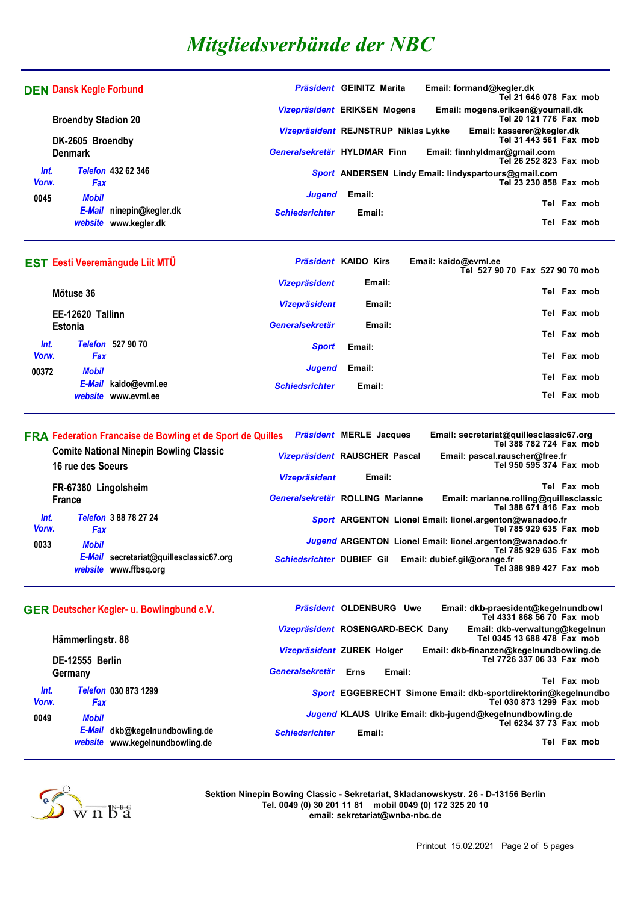|                | <b>DEN Dansk Kegle Forbund</b> |                                                   | Präsident GEINITZ Marita             |        | Email: formand@kegler.dk<br>Tel 21 646 078 Fax mob                             |
|----------------|--------------------------------|---------------------------------------------------|--------------------------------------|--------|--------------------------------------------------------------------------------|
|                | <b>Broendby Stadion 20</b>     |                                                   | Vizepräsident ERIKSEN Mogens         |        | Email: mogens.eriksen@youmail.dk<br>Tel 20 121 776 Fax mob                     |
|                | DK-2605 Broendby               |                                                   | Vizepräsident REJNSTRUP Niklas Lykke |        | Email: kasserer@kegler.dk<br>Tel 31 443 561 Fax mob                            |
| <b>Denmark</b> |                                |                                                   | Generalsekretär HYLDMAR Finn         |        | Email: finnhyldmar@gmail.com<br>Tel 26 252 823 Fax mob                         |
| Int.<br>Vorw.  | <b>Fax</b>                     | Telefon 432 62 346                                |                                      |        | Sport ANDERSEN Lindy Email: lindyspartours@gmail.com<br>Tel 23 230 858 Fax mob |
| 0045           | <b>Mobil</b>                   |                                                   | <b>Jugend</b>                        | Email: | Tel Fax mob                                                                    |
|                |                                | E-Mail ninepin@kegler.dk<br>website www.kegler.dk | <b>Schiedsrichter</b>                | Email: | Fax mob<br>Tel                                                                 |

|                |                  | EST Eesti Veeremängude Liit MTÜ |                       | <b>Präsident KAIDO Kirs</b> | Email: kaido@evml.ee<br>Tel 527 90 70 Fax 527 90 70 mob |             |
|----------------|------------------|---------------------------------|-----------------------|-----------------------------|---------------------------------------------------------|-------------|
|                | Mõtuse 36        |                                 | <b>Vizepräsident</b>  | Email:                      |                                                         | Tel Fax mob |
|                | EE-12620 Tallinn |                                 | <b>Vizepräsident</b>  | Email:                      |                                                         | Tel Fax mob |
| <b>Estonia</b> |                  |                                 | Generalsekretär       | Email:                      |                                                         | Tel Fax mob |
| Int.<br>Vorw.  | <b>Fax</b>       | Telefon 527 90 70               | <b>Sport</b>          | Email:                      |                                                         | Tel Fax mob |
| 00372          | <b>Mobil</b>     | E-Mail kaido@evml.ee            | <b>Jugend</b>         | Email:                      |                                                         | Tel Fax mob |
|                |                  | website www.evml.ee             | <b>Schiedsrichter</b> | Email:                      |                                                         | Tel Fax mob |

|               | <b>FRA Federation Francaise de Bowling et de Sport de Quilles</b><br><b>Comite National Ninepin Bowling Classic</b><br>16 rue des Soeurs |            |                                                                  |                                  | <b>Präsident MERLE Jacques</b> | Email: secretariat@quillesclassic67.org<br>Tel 388 782 724 Fax mob                  |
|---------------|------------------------------------------------------------------------------------------------------------------------------------------|------------|------------------------------------------------------------------|----------------------------------|--------------------------------|-------------------------------------------------------------------------------------|
|               |                                                                                                                                          |            |                                                                  | Vizepräsident RAUSCHER Pascal    |                                | Email: pascal.rauscher@free.fr<br>Tel 950 595 374 Fax mob                           |
|               | FR-67380 Lingolsheim                                                                                                                     |            |                                                                  | <b>Vizepräsident</b>             | Email:                         | Tel Fax mob                                                                         |
|               | France                                                                                                                                   |            |                                                                  | Generalsekretär ROLLING Marianne |                                | Email: marianne.rolling@quillesclassic<br>Tel 388 671 816 Fax mob                   |
| Int.<br>Vorw. |                                                                                                                                          | <b>Fax</b> | Telefon 388782724                                                |                                  |                                | Sport ARGENTON Lionel Email: lionel.argenton@wanadoo.fr<br>Tel 785 929 635 Fax mob  |
| 0033          | <b>Mobil</b>                                                                                                                             |            |                                                                  |                                  |                                | Jugend ARGENTON Lionel Email: lionel.argenton@wanadoo.fr<br>Tel 785 929 635 Fax mob |
|               |                                                                                                                                          |            | E-Mail secretariat@quillesclassic67.org<br>website www.ffbsg.org | Schiedsrichter DUBIEF Gil        |                                | Email: dubief.gil@orange.fr<br>Tel 388 989 427 Fax mob                              |

|                   |                        |     | <b>GER Deutscher Kegler- u. Bowlingbund e.V.</b>           | Präsident OLDENBURG               |        |        | Uwe | Email: dkb-praesident@kegelnundbowl<br>Tel 4331 868 56 70 Fax mob                          |     |             |
|-------------------|------------------------|-----|------------------------------------------------------------|-----------------------------------|--------|--------|-----|--------------------------------------------------------------------------------------------|-----|-------------|
| Hämmerlingstr. 88 |                        |     |                                                            | Vizepräsident ROSENGARD-BECK Dany |        |        |     | Email: dkb-verwaltung@kegelnun<br>Tel 0345 13 688 478 Fax mob                              |     |             |
|                   | <b>DE-12555 Berlin</b> |     |                                                            | Vizepräsident ZUREK Holger        |        |        |     | Email: dkb-finanzen@kegelnundbowling.de<br>Tel 7726 337 06 33 Fax mob                      |     |             |
| Germany           |                        |     |                                                            | Generalsekretär                   | Erns   | Email: |     |                                                                                            | Tel | Fax mob     |
| Int.<br>Vorw.     |                        | Fax | Telefon 030 873 1299                                       |                                   |        |        |     | Sport EGGEBRECHT Simone Email: dkb-sportdirektorin@kegelnundbo<br>Tel 030 873 1299 Fax mob |     |             |
| 0049              | <b>Mobil</b>           |     |                                                            |                                   |        |        |     | Jugend KLAUS Ulrike Email: dkb-jugend@kegelnundbowling.de<br>Tel 6234 37 73 Fax mob        |     |             |
|                   | E-Mail                 |     | dkb@kegelnundbowling.de<br>website www.kegelnundbowling.de | <b>Schiedsrichter</b>             | Email: |        |     |                                                                                            |     | Tel Fax mob |



**Sektion Ninepin Bowing Classic - Sekretariat, Skladanowskystr. 26 - D-13156 Berlin Tel. 0049 (0) 30 201 11 81 mobil 0049 (0) 172 325 20 10 email: sekretariat@wnba-nbc.de**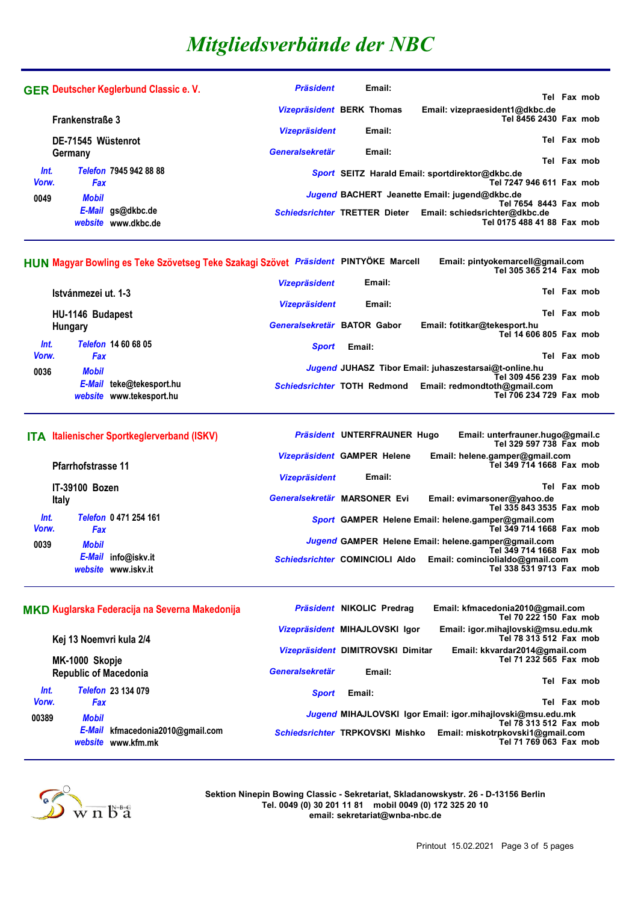|                             | <b>GER Deutscher Keglerbund Classic e. V.</b> | <b>Präsident</b>                     |  | Email: |                                                                             |             |
|-----------------------------|-----------------------------------------------|--------------------------------------|--|--------|-----------------------------------------------------------------------------|-------------|
|                             |                                               |                                      |  |        |                                                                             | Tel Fax mob |
| <b>Frankenstraße 3</b>      |                                               | Vizepräsident BERK Thomas            |  |        | Email: vizepraesident1@dkbc.de<br>Tel 8456 2430 Fax mob                     |             |
| DE-71545 Wüstenrot          |                                               | <b>Vizepräsident</b>                 |  | Email: |                                                                             | Tel Fax mob |
| Germany                     | Generalsekretär                               |                                      |  | Email: |                                                                             | Tel Fax mob |
| Int.<br>Vorw.<br><b>Fax</b> | Telefon 7945 942 88 88                        |                                      |  |        | Sport SEITZ Harald Email: sportdirektor@dkbc.de<br>Tel 7247 946 611 Fax mob |             |
| <b>Mobil</b><br>0049        |                                               |                                      |  |        | Jugend BACHERT Jeanette Email: jugend@dkbc.de                               |             |
|                             | E-Mail gs@dkbc.de                             | <b>Schiedsrichter TRETTER Dieter</b> |  |        | Tel 7654 8443 Fax mob<br>Email: schiedsrichter@dkbc.de                      |             |
|                             | website www.dkbc.de                           |                                      |  |        | Tel 0175 488 41 88 Fax mob                                                  |             |

**HUN Magyar Bowling es Teke Szövetseg Teke Szakagi Szövet** *Präsident* **PINTYÖKE Marcell Email: pintyokemarcell@gmail.com**

|       |                     |                          | <b>Vizepräsident</b>   | Email:             |                                                          |  |             |  |  |  |
|-------|---------------------|--------------------------|------------------------|--------------------|----------------------------------------------------------|--|-------------|--|--|--|
|       | Istvánmezei ut. 1-3 |                          |                        |                    |                                                          |  | Tel Fax mob |  |  |  |
|       | HU-1146 Budapest    |                          | <b>Vizepräsident</b>   | Email:             | Tel Fax mob                                              |  |             |  |  |  |
|       | Hungary             |                          | <b>Generalsekretär</b> | <b>BATOR Gabor</b> | Email: fotitkar@tekesport.hu<br>Tel 14 606 805 Fax mob   |  |             |  |  |  |
| Int.  |                     | Telefon 14 60 68 05      | <b>Sport</b>           | Email:             |                                                          |  |             |  |  |  |
| Vorw. | Fax                 |                          |                        |                    |                                                          |  | Tel Fax mob |  |  |  |
| 0036  | <b>Mobil</b>        |                          |                        |                    | Jugend JUHASZ Tibor Email: juhaszestarsaj@t-online.hu    |  |             |  |  |  |
|       |                     |                          |                        |                    | Tel 309 456 239 Fax mob                                  |  |             |  |  |  |
|       |                     | E-Mail teke@tekesport.hu |                        |                    | Schiedsrichter TOTH Redmond Email: redmondtoth@gmail.com |  |             |  |  |  |
|       |                     | website www.tekesport.hu |                        |                    | Tel 706 234 729 Fax mob                                  |  |             |  |  |  |

|               |                           | <b>ITA</b> Italienischer Sportkeglerverband (ISKV) |                      | Präsident UNTERFRAUNER Hugo                                                             |  | Email: unterfrauner.hugo@gmail.c<br>Tel 329 597 738 Fax mob                     |  |             |
|---------------|---------------------------|----------------------------------------------------|----------------------|-----------------------------------------------------------------------------------------|--|---------------------------------------------------------------------------------|--|-------------|
|               | <b>Pfarrhofstrasse 11</b> |                                                    |                      | Vizepräsident GAMPER Helene                                                             |  | Email: helene.gamper@gmail.com<br>Tel 349 714 1668 Fax mob                      |  |             |
|               | <b>IT-39100 Bozen</b>     |                                                    | <b>Vizepräsident</b> | Email:                                                                                  |  |                                                                                 |  | Tel Fax mob |
|               | Italy                     |                                                    |                      | Generalsekretär MARSONER Evi<br>Email: evimarsoner@yahoo.de<br>Tel 335 843 3535 Fax mob |  |                                                                                 |  |             |
| Int.<br>Vorw. | <b>Fax</b>                | Telefon 0 471 254 161                              |                      |                                                                                         |  | Sport GAMPER Helene Email: helene.gamper@gmail.com<br>Tel 349 714 1668 Fax mob  |  |             |
| 0039          | <b>Mobil</b>              |                                                    |                      |                                                                                         |  | Jugend GAMPER Helene Email: helene.gamper@gmail.com<br>Tel 349 714 1668 Fax mob |  |             |
|               |                           | E-Mail info@iskv.it<br>website www.isky.it         |                      | Schiedsrichter COMINCIOLI Aldo                                                          |  | Email: cominciolialdo@gmail.com<br>Tel 338 531 9713 Fax mob                     |  |             |

| MKD Kuglarska Federacija na Severna Makedonija |            |                                                        |                                 | Präsident NIKOLIC Predrag                                  |  | Email: kfmacedonia2010@gmail.com<br>Tel 70 222 150 Fax mob                           |  |  |  |
|------------------------------------------------|------------|--------------------------------------------------------|---------------------------------|------------------------------------------------------------|--|--------------------------------------------------------------------------------------|--|--|--|
|                                                |            | Kej 13 Noemvri kula 2/4                                |                                 | Vizepräsident MIHAJLOVSKI Igor                             |  | Email: igor.mihajlovski@msu.edu.mk<br>Tel 78 313 512 Fax mob                         |  |  |  |
| MK-1000 Skopje<br><b>Republic of Macedonia</b> |            |                                                        |                                 | Vizepräsident DIMITROVSKI Dimitar                          |  | Email: kkvardar2014@gmail.com<br>Tel 71 232 565 Fax mob                              |  |  |  |
|                                                |            |                                                        | Generalsekretär                 | Email:                                                     |  | Tel Fax mob                                                                          |  |  |  |
| Int.<br>Vorw.                                  | <b>Fax</b> | Telefon 23 134 079                                     | <b>Sport</b>                    | Email:                                                     |  | Tel Fax mob                                                                          |  |  |  |
| 00389                                          | Mobil      |                                                        |                                 | Jugend MIHAJLOVSKI Igor Email: igor.mihajlovski@msu.edu.mk |  |                                                                                      |  |  |  |
|                                                |            | E-Mail kfmacedonia2010@gmail.com<br>website www.kfm.mk | Schiedsrichter TRPKOVSKI Mishko |                                                            |  | Tel 78 313 512 Fax mob<br>Email: miskotrpkovski1@gmail.com<br>Tel 71 769 063 Fax mob |  |  |  |



**Sektion Ninepin Bowing Classic - Sekretariat, Skladanowskystr. 26 - D-13156 Berlin Tel. 0049 (0) 30 201 11 81 mobil 0049 (0) 172 325 20 10 email: sekretariat@wnba-nbc.de**

**Tel 305 365 214 Fax mob**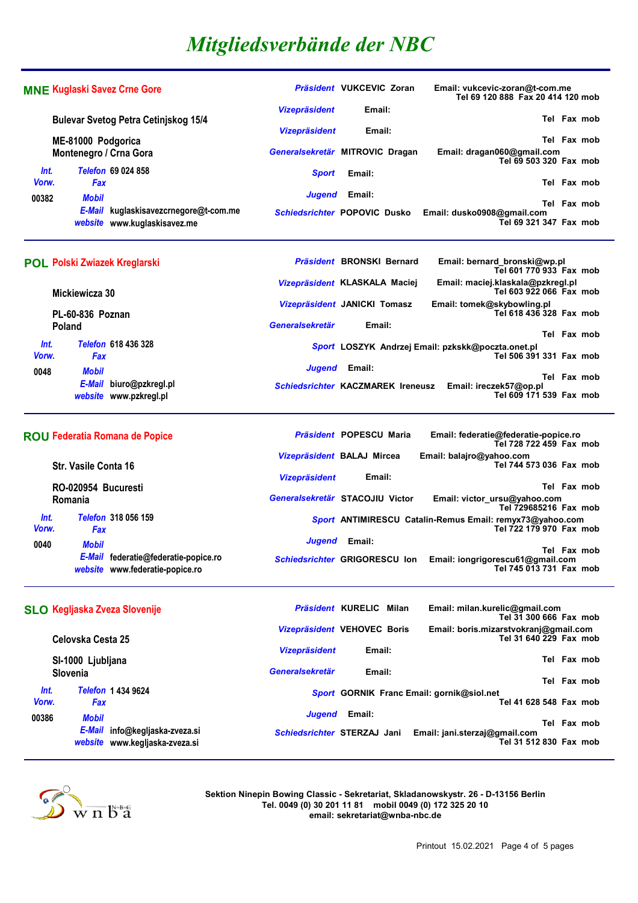|               |                                              | <b>MNE Kuglaski Savez Crne Gore</b>                                     |                                                | <b>Präsident VUKCEVIC Zoran</b>           | Email: vukcevic-zoran@t-com.me<br>Tel 69 120 888 Fax 20 414 120 mob                         |
|---------------|----------------------------------------------|-------------------------------------------------------------------------|------------------------------------------------|-------------------------------------------|---------------------------------------------------------------------------------------------|
|               | <b>Bulevar Svetog Petra Cetinjskog 15/4</b>  |                                                                         | <b>Vizepräsident</b>                           | Email:                                    |                                                                                             |
|               |                                              |                                                                         | <b>Vizepräsident</b>                           | Email:                                    | Tel Fax mob                                                                                 |
|               | ME-81000 Podgorica<br>Montenegro / Crna Gora |                                                                         |                                                | Generalsekretär MITROVIC Dragan           | Tel Fax mob<br>Email: dragan060@gmail.com                                                   |
| Int.          |                                              | Telefon 69 024 858                                                      |                                                |                                           | Tel 69 503 320 Fax mob                                                                      |
| Vorw.         | Fax                                          |                                                                         | <b>Sport</b>                                   | Email:                                    | Tel Fax mob                                                                                 |
| 00382         | <b>Mobil</b>                                 |                                                                         | Jugend                                         | Email:                                    | Tel Fax mob                                                                                 |
|               |                                              | E-Mail kuglaskisavezcrnegore@t-com.me<br>website www.kuglaskisavez.me   |                                                | <b>Schiedsrichter POPOVIC Dusko</b>       | Email: dusko0908@gmail.com<br>Tel 69 321 347 Fax mob                                        |
|               | <b>POL Polski Zwiazek Kreglarski</b>         |                                                                         |                                                | <b>Präsident BRONSKI Bernard</b>          | Email: bernard_bronski@wp.pl<br>Tel 601 770 933 Fax mob                                     |
|               | Mickiewicza 30                               |                                                                         |                                                | Vizepräsident KLASKALA Maciej             | Email: maciej.klaskala@pzkregl.pl<br>Tel 603 922 066 Fax mob                                |
|               | PL-60-836 Poznan                             |                                                                         |                                                | Vizepräsident JANICKI Tomasz              | Email: tomek@skybowling.pl<br>Tel 618 436 328 Fax mob                                       |
|               | <b>Poland</b>                                |                                                                         | <b>Generalsekretär</b>                         | Email:                                    |                                                                                             |
| Int.<br>Vorw. | Fax                                          | Telefon 618 436 328                                                     |                                                |                                           | Tel Fax mob<br>Sport LOSZYK Andrzej Email: pzkskk@poczta.onet.pl<br>Tel 506 391 331 Fax mob |
| 0048          | <b>Mobil</b>                                 |                                                                         | Jugend                                         | Email:                                    | Tel Fax mob                                                                                 |
|               |                                              | E-Mail biuro@pzkregl.pl<br>website www.pzkregl.pl                       |                                                | Schiedsrichter KACZMAREK Ireneusz         | Email: ireczek57@op.pl<br>Tel 609 171 539 Fax mob                                           |
|               |                                              |                                                                         |                                                |                                           |                                                                                             |
|               |                                              | <b>ROU Federatia Romana de Popice</b>                                   |                                                | <b>Präsident POPESCU Maria</b>            | Email: federatie@federatie-popice.ro                                                        |
|               |                                              |                                                                         |                                                | Vizepräsident BALAJ Mircea                | Tel 728 722 459 Fax mob<br>Email: balajro@yahoo.com                                         |
|               | Str. Vasile Conta 16                         |                                                                         | <b>Vizepräsident</b>                           | Email:                                    | Tel 744 573 036 Fax mob                                                                     |
|               | RO-020954 Bucuresti<br>Romania               |                                                                         |                                                | Generalsekretär STACOJIU Victor           | Tel Fax mob<br>Email: victor_ursu@yahoo.com<br>Tel 729685216 Fax mob                        |
| Int.          |                                              | Telefon 318 056 159                                                     |                                                |                                           | Sport ANTIMIRESCU Catalin-Remus Email: remyx73@yahoo.com                                    |
| Vorw.<br>0040 | Fax<br>Mobil                                 |                                                                         | Jugend                                         | Email:                                    | Tel 722 179 970 Fax mob                                                                     |
|               |                                              | E-Mail federatie@federatie-popice.ro<br>website www.federatie-popice.ro |                                                | Schiedsrichter GRIGORESCU Ion             | Tel Fax mob<br>Email: iongrigorescu61@gmail.com<br>Tel 745 013 731 Fax mob                  |
|               |                                              |                                                                         |                                                | Präsident KURELIC Milan                   |                                                                                             |
|               |                                              | <b>SLO Kegljaska Zveza Slovenije</b>                                    |                                                |                                           | Email: milan.kurelic@gmail.com<br>Tel 31 300 666 Fax mob                                    |
|               | Celovska Cesta 25                            |                                                                         |                                                | Vizepräsident VEHOVEC Boris               | Email: boris.mizarstvokranj@gmail.com<br>Tel 31 640 229 Fax mob                             |
|               | SI-1000 Ljubljana<br>Slovenia                |                                                                         | <b>Vizepräsident</b><br><b>Generalsekretär</b> | Email:<br>Email:                          | Tel Fax mob                                                                                 |
| Int.          |                                              | Telefon 1 434 9624                                                      |                                                |                                           | Tel Fax mob                                                                                 |
| Vorw.         | Fax                                          |                                                                         |                                                | Sport GORNIK Franc Email: gornik@siol.net | Tel 41 628 548 Fax mob                                                                      |
| 00386         | Mobil                                        | E-Mail info@kegljaska-zveza.si                                          | Jugend                                         | Email:<br>Schiedsrichter STERZAJ Jani     | Tel Fax mob<br>Email: jani.sterzaj@gmail.com                                                |



**Sektion Ninepin Bowing Classic - Sekretariat, Skladanowskystr. 26 - D-13156 Berlin Tel. 0049 (0) 30 201 11 81 mobil 0049 (0) 172 325 20 10 email: sekretariat@wnba-nbc.de**